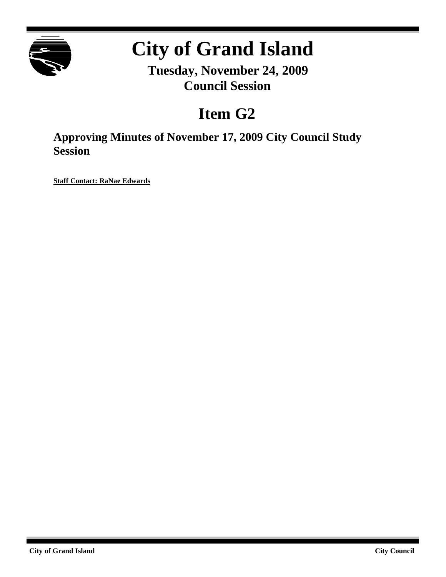

## **City of Grand Island**

**Tuesday, November 24, 2009 Council Session**

## **Item G2**

**Approving Minutes of November 17, 2009 City Council Study Session**

**Staff Contact: RaNae Edwards**